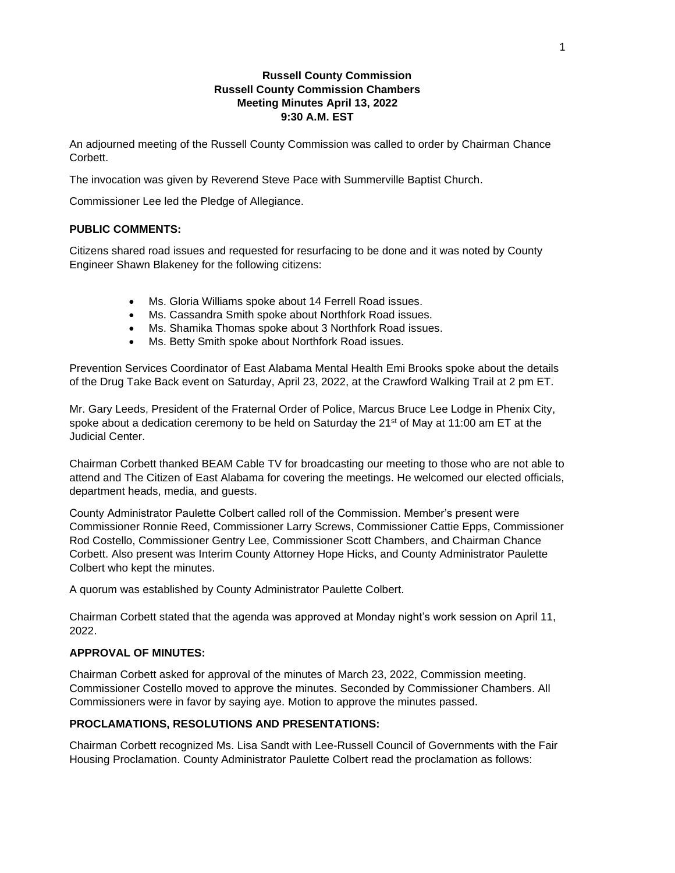# **Russell County Commission Russell County Commission Chambers Meeting Minutes April 13, 2022 9:30 A.M. EST**

An adjourned meeting of the Russell County Commission was called to order by Chairman Chance Corbett.

The invocation was given by Reverend Steve Pace with Summerville Baptist Church.

Commissioner Lee led the Pledge of Allegiance.

# **PUBLIC COMMENTS:**

Citizens shared road issues and requested for resurfacing to be done and it was noted by County Engineer Shawn Blakeney for the following citizens:

- Ms. Gloria Williams spoke about 14 Ferrell Road issues.
- Ms. Cassandra Smith spoke about Northfork Road issues.
- Ms. Shamika Thomas spoke about 3 Northfork Road issues.
- Ms. Betty Smith spoke about Northfork Road issues.

Prevention Services Coordinator of East Alabama Mental Health Emi Brooks spoke about the details of the Drug Take Back event on Saturday, April 23, 2022, at the Crawford Walking Trail at 2 pm ET.

Mr. Gary Leeds, President of the Fraternal Order of Police, Marcus Bruce Lee Lodge in Phenix City, spoke about a dedication ceremony to be held on Saturday the  $21<sup>st</sup>$  of May at 11:00 am ET at the Judicial Center.

Chairman Corbett thanked BEAM Cable TV for broadcasting our meeting to those who are not able to attend and The Citizen of East Alabama for covering the meetings. He welcomed our elected officials, department heads, media, and guests.

County Administrator Paulette Colbert called roll of the Commission. Member's present were Commissioner Ronnie Reed, Commissioner Larry Screws, Commissioner Cattie Epps, Commissioner Rod Costello, Commissioner Gentry Lee, Commissioner Scott Chambers, and Chairman Chance Corbett. Also present was Interim County Attorney Hope Hicks, and County Administrator Paulette Colbert who kept the minutes.

A quorum was established by County Administrator Paulette Colbert.

Chairman Corbett stated that the agenda was approved at Monday night's work session on April 11, 2022.

# **APPROVAL OF MINUTES:**

Chairman Corbett asked for approval of the minutes of March 23, 2022, Commission meeting. Commissioner Costello moved to approve the minutes. Seconded by Commissioner Chambers. All Commissioners were in favor by saying aye. Motion to approve the minutes passed.

# **PROCLAMATIONS, RESOLUTIONS AND PRESENTATIONS:**

Chairman Corbett recognized Ms. Lisa Sandt with Lee-Russell Council of Governments with the Fair Housing Proclamation. County Administrator Paulette Colbert read the proclamation as follows: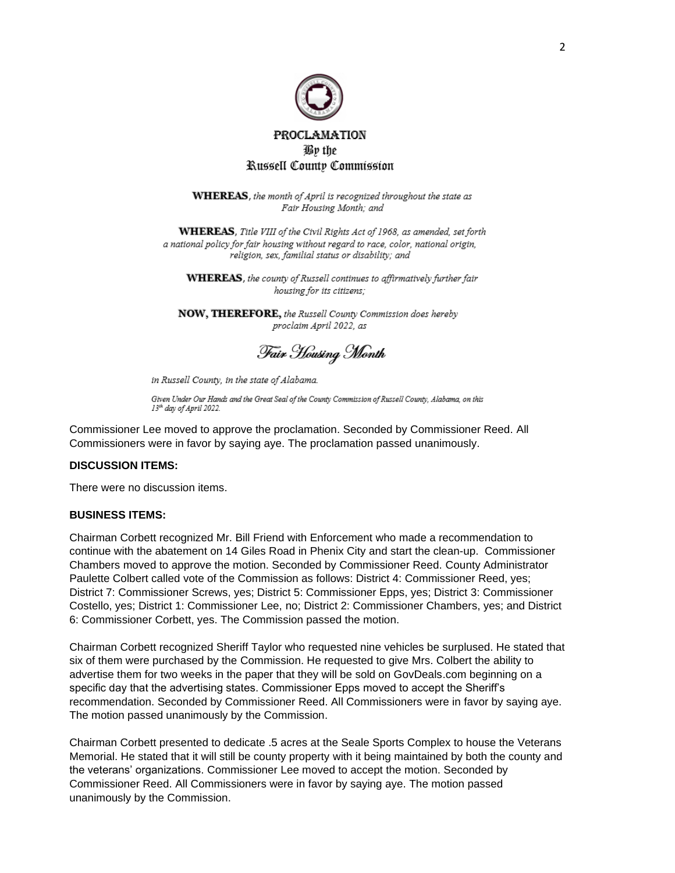

WHEREAS, the month of April is recognized throughout the state as Fair Housing Month; and

WHEREAS, Title VIII of the Civil Rights Act of 1968, as amended, set forth a national policy for fair housing without regard to race, color, national origin, religion, sex, familial status or disability; and

WHEREAS, the county of Russell continues to affirmatively further fair housing for its citizens;

NOW, THEREFORE, the Russell County Commission does hereby proclaim April 2022, as

Fair Housing Month

in Russell County, in the state of Alabama.

Given Under Our Hands and the Great Seal of the County Commission of Russell County, Alabama, on this 13<sup>th</sup> day of April 2022.

Commissioner Lee moved to approve the proclamation. Seconded by Commissioner Reed. All Commissioners were in favor by saying aye. The proclamation passed unanimously.

### **DISCUSSION ITEMS:**

There were no discussion items.

### **BUSINESS ITEMS:**

Chairman Corbett recognized Mr. Bill Friend with Enforcement who made a recommendation to continue with the abatement on 14 Giles Road in Phenix City and start the clean-up. Commissioner Chambers moved to approve the motion. Seconded by Commissioner Reed. County Administrator Paulette Colbert called vote of the Commission as follows: District 4: Commissioner Reed, yes; District 7: Commissioner Screws, yes; District 5: Commissioner Epps, yes; District 3: Commissioner Costello, yes; District 1: Commissioner Lee, no; District 2: Commissioner Chambers, yes; and District 6: Commissioner Corbett, yes. The Commission passed the motion.

Chairman Corbett recognized Sheriff Taylor who requested nine vehicles be surplused. He stated that six of them were purchased by the Commission. He requested to give Mrs. Colbert the ability to advertise them for two weeks in the paper that they will be sold on GovDeals.com beginning on a specific day that the advertising states. Commissioner Epps moved to accept the Sheriff's recommendation. Seconded by Commissioner Reed. All Commissioners were in favor by saying aye. The motion passed unanimously by the Commission.

Chairman Corbett presented to dedicate .5 acres at the Seale Sports Complex to house the Veterans Memorial. He stated that it will still be county property with it being maintained by both the county and the veterans' organizations. Commissioner Lee moved to accept the motion. Seconded by Commissioner Reed. All Commissioners were in favor by saying aye. The motion passed unanimously by the Commission.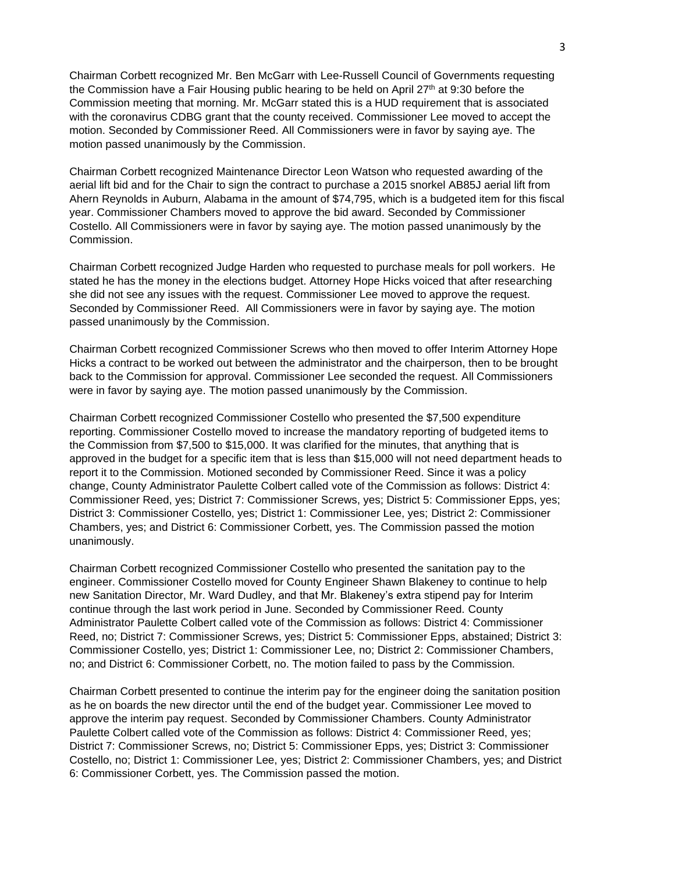Chairman Corbett recognized Mr. Ben McGarr with Lee-Russell Council of Governments requesting the Commission have a Fair Housing public hearing to be held on April 27<sup>th</sup> at 9:30 before the Commission meeting that morning. Mr. McGarr stated this is a HUD requirement that is associated with the coronavirus CDBG grant that the county received. Commissioner Lee moved to accept the motion. Seconded by Commissioner Reed. All Commissioners were in favor by saying aye. The motion passed unanimously by the Commission.

Chairman Corbett recognized Maintenance Director Leon Watson who requested awarding of the aerial lift bid and for the Chair to sign the contract to purchase a 2015 snorkel AB85J aerial lift from Ahern Reynolds in Auburn, Alabama in the amount of \$74,795, which is a budgeted item for this fiscal year. Commissioner Chambers moved to approve the bid award. Seconded by Commissioner Costello. All Commissioners were in favor by saying aye. The motion passed unanimously by the Commission.

Chairman Corbett recognized Judge Harden who requested to purchase meals for poll workers. He stated he has the money in the elections budget. Attorney Hope Hicks voiced that after researching she did not see any issues with the request. Commissioner Lee moved to approve the request. Seconded by Commissioner Reed. All Commissioners were in favor by saying aye. The motion passed unanimously by the Commission.

Chairman Corbett recognized Commissioner Screws who then moved to offer Interim Attorney Hope Hicks a contract to be worked out between the administrator and the chairperson, then to be brought back to the Commission for approval. Commissioner Lee seconded the request. All Commissioners were in favor by saying aye. The motion passed unanimously by the Commission.

Chairman Corbett recognized Commissioner Costello who presented the \$7,500 expenditure reporting. Commissioner Costello moved to increase the mandatory reporting of budgeted items to the Commission from \$7,500 to \$15,000. It was clarified for the minutes, that anything that is approved in the budget for a specific item that is less than \$15,000 will not need department heads to report it to the Commission. Motioned seconded by Commissioner Reed. Since it was a policy change, County Administrator Paulette Colbert called vote of the Commission as follows: District 4: Commissioner Reed, yes; District 7: Commissioner Screws, yes; District 5: Commissioner Epps, yes; District 3: Commissioner Costello, yes; District 1: Commissioner Lee, yes; District 2: Commissioner Chambers, yes; and District 6: Commissioner Corbett, yes. The Commission passed the motion unanimously.

Chairman Corbett recognized Commissioner Costello who presented the sanitation pay to the engineer. Commissioner Costello moved for County Engineer Shawn Blakeney to continue to help new Sanitation Director, Mr. Ward Dudley, and that Mr. Blakeney's extra stipend pay for Interim continue through the last work period in June. Seconded by Commissioner Reed. County Administrator Paulette Colbert called vote of the Commission as follows: District 4: Commissioner Reed, no; District 7: Commissioner Screws, yes; District 5: Commissioner Epps, abstained; District 3: Commissioner Costello, yes; District 1: Commissioner Lee, no; District 2: Commissioner Chambers, no; and District 6: Commissioner Corbett, no. The motion failed to pass by the Commission.

Chairman Corbett presented to continue the interim pay for the engineer doing the sanitation position as he on boards the new director until the end of the budget year. Commissioner Lee moved to approve the interim pay request. Seconded by Commissioner Chambers. County Administrator Paulette Colbert called vote of the Commission as follows: District 4: Commissioner Reed, yes; District 7: Commissioner Screws, no; District 5: Commissioner Epps, yes; District 3: Commissioner Costello, no; District 1: Commissioner Lee, yes; District 2: Commissioner Chambers, yes; and District 6: Commissioner Corbett, yes. The Commission passed the motion.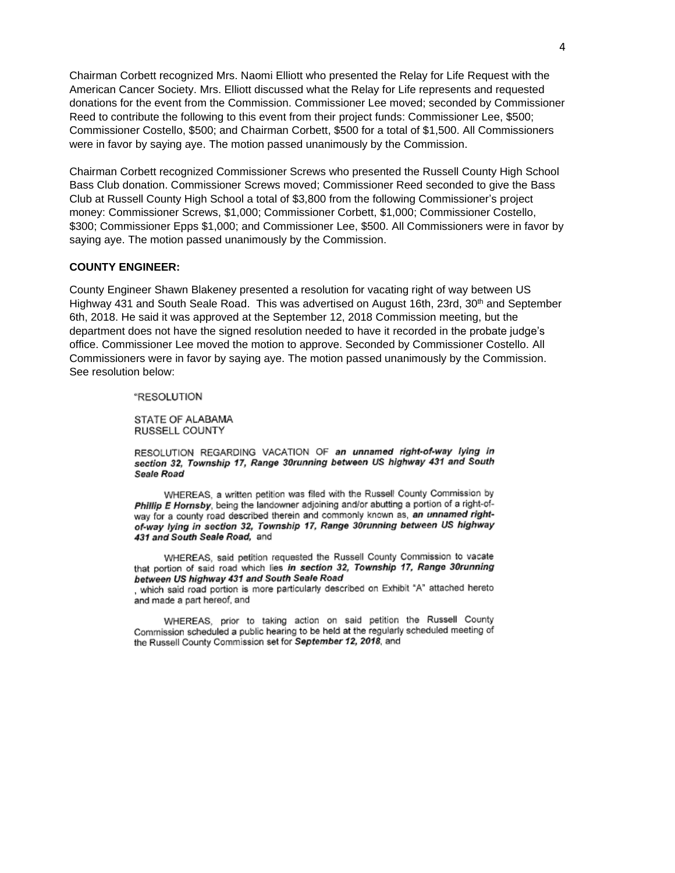Chairman Corbett recognized Mrs. Naomi Elliott who presented the Relay for Life Request with the American Cancer Society. Mrs. Elliott discussed what the Relay for Life represents and requested donations for the event from the Commission. Commissioner Lee moved; seconded by Commissioner Reed to contribute the following to this event from their project funds: Commissioner Lee, \$500; Commissioner Costello, \$500; and Chairman Corbett, \$500 for a total of \$1,500. All Commissioners were in favor by saying aye. The motion passed unanimously by the Commission.

Chairman Corbett recognized Commissioner Screws who presented the Russell County High School Bass Club donation. Commissioner Screws moved; Commissioner Reed seconded to give the Bass Club at Russell County High School a total of \$3,800 from the following Commissioner's project money: Commissioner Screws, \$1,000; Commissioner Corbett, \$1,000; Commissioner Costello, \$300; Commissioner Epps \$1,000; and Commissioner Lee, \$500. All Commissioners were in favor by saying aye. The motion passed unanimously by the Commission.

# **COUNTY ENGINEER:**

County Engineer Shawn Blakeney presented a resolution for vacating right of way between US Highway 431 and South Seale Road. This was advertised on August 16th, 23rd, 30<sup>th</sup> and September 6th, 2018. He said it was approved at the September 12, 2018 Commission meeting, but the department does not have the signed resolution needed to have it recorded in the probate judge's office. Commissioner Lee moved the motion to approve. Seconded by Commissioner Costello. All Commissioners were in favor by saying aye. The motion passed unanimously by the Commission. See resolution below:

#### "RESOLUTION

STATE OF ALABAMA RUSSELL COUNTY

RESOLUTION REGARDING VACATION OF an unnamed right-of-way lying in section 32, Township 17, Range 30running between US highway 431 and South Seale Road

WHEREAS, a written petition was filed with the Russell County Commission by Phillip E Hornsby, being the landowner adjoining and/or abutting a portion of a right-ofway for a county road described therein and commonly known as, an unnamed rightof-way lying in section 32, Township 17, Range 30running between US highway 431 and South Seale Road, and

WHEREAS, said petition requested the Russell County Commission to vacate that portion of said road which lies in section 32, Township 17, Range 30running between US highway 431 and South Seale Road

, which said road portion is more particularly described on Exhibit "A" attached hereto and made a part hereof, and

WHEREAS, prior to taking action on said petition the Russell County Commission scheduled a public hearing to be held at the regularly scheduled meeting of the Russell County Commission set for September 12, 2018, and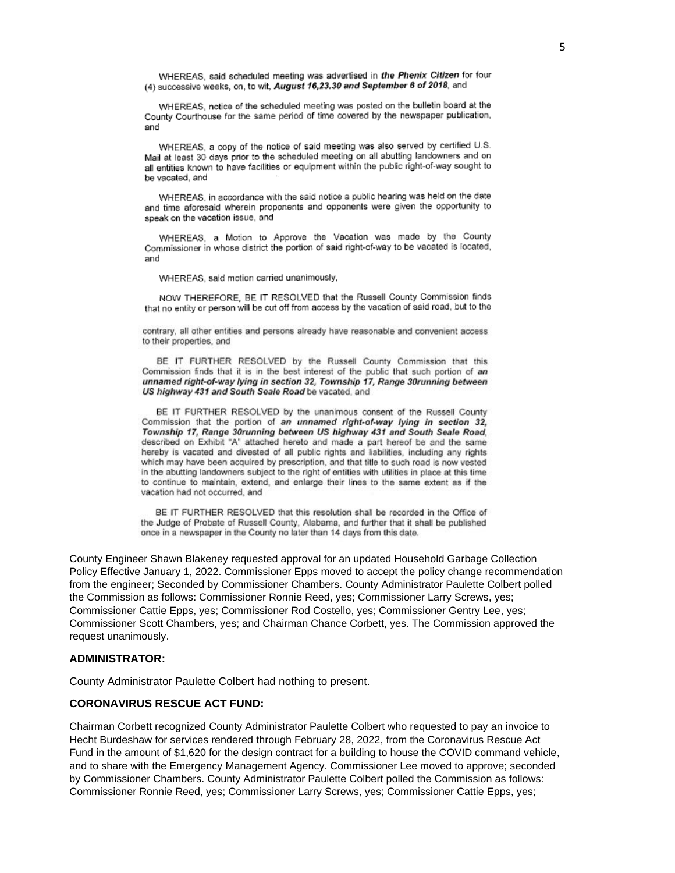WHEREAS, said scheduled meeting was advertised in the Phenix Citizen for four (4) successive weeks, on, to wit, August 16,23.30 and September 6 of 2018, and

WHEREAS, notice of the scheduled meeting was posted on the bulletin board at the County Courthouse for the same period of time covered by the newspaper publication, and

WHEREAS, a copy of the notice of said meeting was also served by certified U.S. Mail at least 30 days prior to the scheduled meeting on all abutting landowners and on all entities known to have facilities or equipment within the public right-of-way sought to be vacated, and

WHEREAS, in accordance with the said notice a public hearing was held on the date and time aforesaid wherein proponents and opponents were given the opportunity to speak on the vacation issue, and

WHEREAS, a Motion to Approve the Vacation was made by the County Commissioner in whose district the portion of said right-of-way to be vacated is located, and

WHEREAS, said motion carried unanimously,

NOW THEREFORE, BE IT RESOLVED that the Russell County Commission finds that no entity or person will be cut off from access by the vacation of said road, but to the

contrary, all other entities and persons already have reasonable and convenient access to their properties, and

BE IT FURTHER RESOLVED by the Russell County Commission that this Commission finds that it is in the best interest of the public that such portion of an unnamed right-of-way lying in section 32, Township 17, Range 30running between US highway 431 and South Seale Road be vacated, and

BE IT FURTHER RESOLVED by the unanimous consent of the Russell County Commission that the portion of an unnamed right-of-way lying in section 32, Township 17, Range 30running between US highway 431 and South Seale Road, described on Exhibit "A" attached hereto and made a part hereof be and the same hereby is vacated and divested of all public rights and liabilities, including any rights which may have been acquired by prescription, and that title to such road is now vested in the abutting landowners subject to the right of entities with utilities in place at this time to continue to maintain, extend, and enlarge their lines to the same extent as if the vacation had not occurred, and

BE IT FURTHER RESOLVED that this resolution shall be recorded in the Office of the Judge of Probate of Russell County, Alabama, and further that it shall be published once in a newspaper in the County no later than 14 days from this date.

County Engineer Shawn Blakeney requested approval for an updated Household Garbage Collection Policy Effective January 1, 2022. Commissioner Epps moved to accept the policy change recommendation from the engineer; Seconded by Commissioner Chambers. County Administrator Paulette Colbert polled the Commission as follows: Commissioner Ronnie Reed, yes; Commissioner Larry Screws, yes; Commissioner Cattie Epps, yes; Commissioner Rod Costello, yes; Commissioner Gentry Lee, yes; Commissioner Scott Chambers, yes; and Chairman Chance Corbett, yes. The Commission approved the request unanimously.

#### **ADMINISTRATOR:**

County Administrator Paulette Colbert had nothing to present.

# **CORONAVIRUS RESCUE ACT FUND:**

Chairman Corbett recognized County Administrator Paulette Colbert who requested to pay an invoice to Hecht Burdeshaw for services rendered through February 28, 2022, from the Coronavirus Rescue Act Fund in the amount of \$1,620 for the design contract for a building to house the COVID command vehicle, and to share with the Emergency Management Agency. Commissioner Lee moved to approve; seconded by Commissioner Chambers. County Administrator Paulette Colbert polled the Commission as follows: Commissioner Ronnie Reed, yes; Commissioner Larry Screws, yes; Commissioner Cattie Epps, yes;